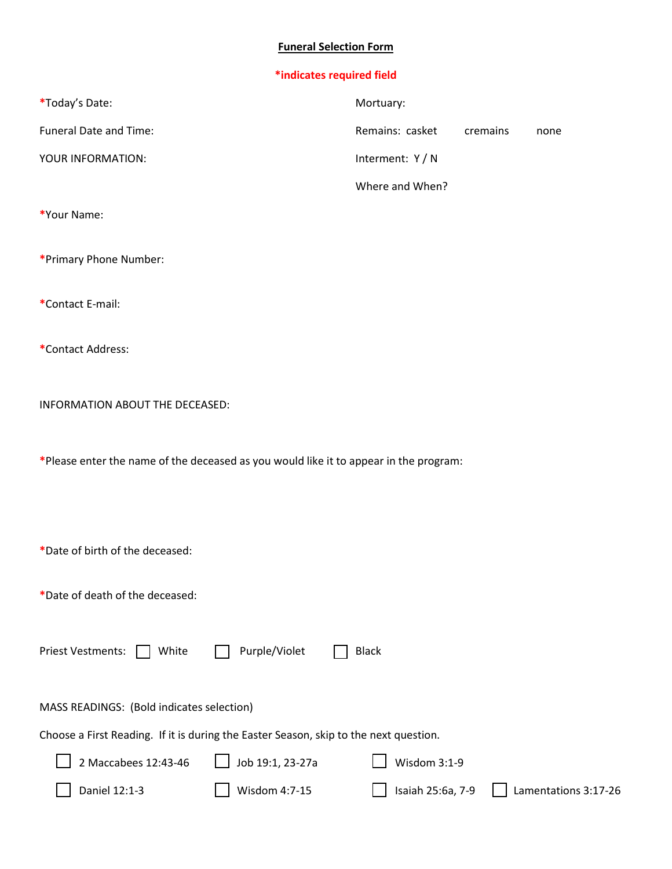## **Funeral Selection Form**

| *indicates required field                                                             |                  |          |      |
|---------------------------------------------------------------------------------------|------------------|----------|------|
| *Today's Date:                                                                        | Mortuary:        |          |      |
| Funeral Date and Time:                                                                | Remains: casket  | cremains | none |
| YOUR INFORMATION:                                                                     | Interment: Y / N |          |      |
|                                                                                       | Where and When?  |          |      |
| *Your Name:                                                                           |                  |          |      |
| *Primary Phone Number:                                                                |                  |          |      |
| *Contact E-mail:                                                                      |                  |          |      |
| *Contact Address:                                                                     |                  |          |      |
| INFORMATION ABOUT THE DECEASED:                                                       |                  |          |      |
| *Please enter the name of the deceased as you would like it to appear in the program: |                  |          |      |
|                                                                                       |                  |          |      |
| *Date of birth of the deceased:                                                       |                  |          |      |
| *Date of death of the deceased:                                                       |                  |          |      |

Priest Vestments: White D Purple/Violet D Black

MASS READINGS: (Bold indicates selection)

Choose a First Reading. If it is during the Easter Season, skip to the next question.

| $\Box$ 2 Maccabees 12:43-46 | $\bigcup$ Job 19:1, 23-27a | $\Box$ Wisdom 3:1-9 |                                                      |
|-----------------------------|----------------------------|---------------------|------------------------------------------------------|
| $\vert$ Daniel 12:1-3       | $\vert$ Wisdom 4:7-15      |                     | $\Box$ Isaiah 25:6a, 7-9 $\Box$ Lamentations 3:17-26 |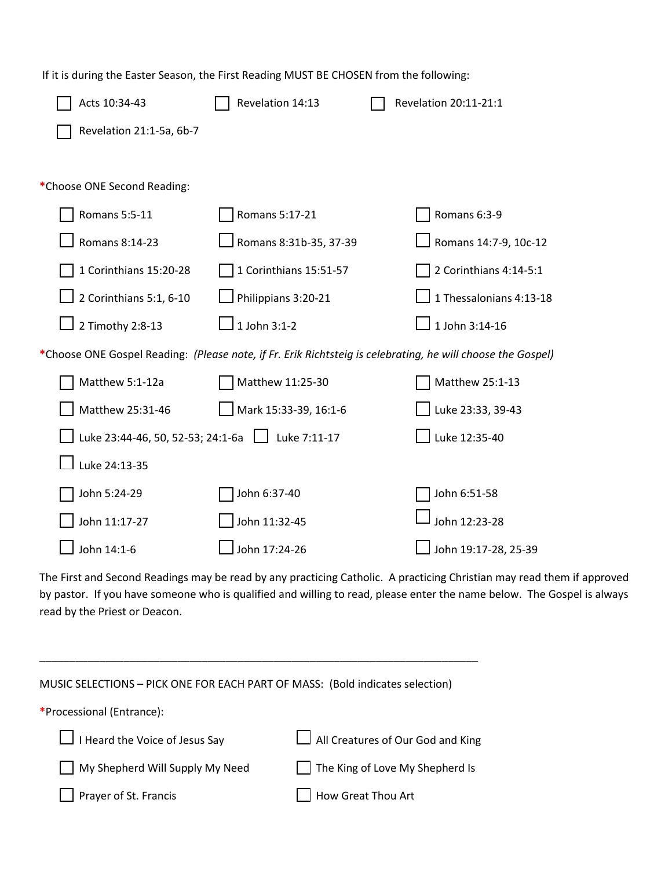| If it is during the Easter Season, the First Reading MUST BE CHOSEN from the following:                     |                        |                         |
|-------------------------------------------------------------------------------------------------------------|------------------------|-------------------------|
| Acts 10:34-43                                                                                               | Revelation 14:13       | Revelation 20:11-21:1   |
| Revelation 21:1-5a, 6b-7                                                                                    |                        |                         |
|                                                                                                             |                        |                         |
| *Choose ONE Second Reading:                                                                                 |                        |                         |
| Romans 5:5-11                                                                                               | Romans 5:17-21         | Romans 6:3-9            |
| Romans 8:14-23                                                                                              | Romans 8:31b-35, 37-39 | Romans 14:7-9, 10c-12   |
| 1 Corinthians 15:20-28                                                                                      | 1 Corinthians 15:51-57 | 2 Corinthians 4:14-5:1  |
| 2 Corinthians 5:1, 6-10                                                                                     | Philippians 3:20-21    | 1 Thessalonians 4:13-18 |
| 2 Timothy 2:8-13                                                                                            | 1 John 3:1-2           | 1 John 3:14-16          |
| *Choose ONE Gospel Reading: (Please note, if Fr. Erik Richtsteig is celebrating, he will choose the Gospel) |                        |                         |
| Matthew 5:1-12a                                                                                             | Matthew 11:25-30       | Matthew 25:1-13         |
| Matthew 25:31-46                                                                                            | Mark 15:33-39, 16:1-6  | Luke 23:33, 39-43       |
| Luke 23:44-46, 50, 52-53; 24:1-6a                                                                           | $\Box$ Luke 7:11-17    | Luke 12:35-40           |
| Luke 24:13-35                                                                                               |                        |                         |
| John 5:24-29                                                                                                | John 6:37-40           | John 6:51-58            |
| John 11:17-27                                                                                               | John 11:32-45          | John 12:23-28           |
| John 14:1-6                                                                                                 | John 17:24-26          | John 19:17-28, 25-39    |
|                                                                                                             |                        |                         |

The First and Second Readings may be read by any practicing Catholic. A practicing Christian may read them if approved by pastor. If you have someone who is qualified and willing to read, please enter the name below. The Gospel is always read by the Priest or Deacon.

| MUSIC SELECTIONS - PICK ONE FOR EACH PART OF MASS: (Bold indicates selection) |
|-------------------------------------------------------------------------------|
|                                                                               |
| $\Box$ All Creatures of Our God and King                                      |
| The King of Love My Shepherd Is                                               |
| How Great Thou Art                                                            |
|                                                                               |